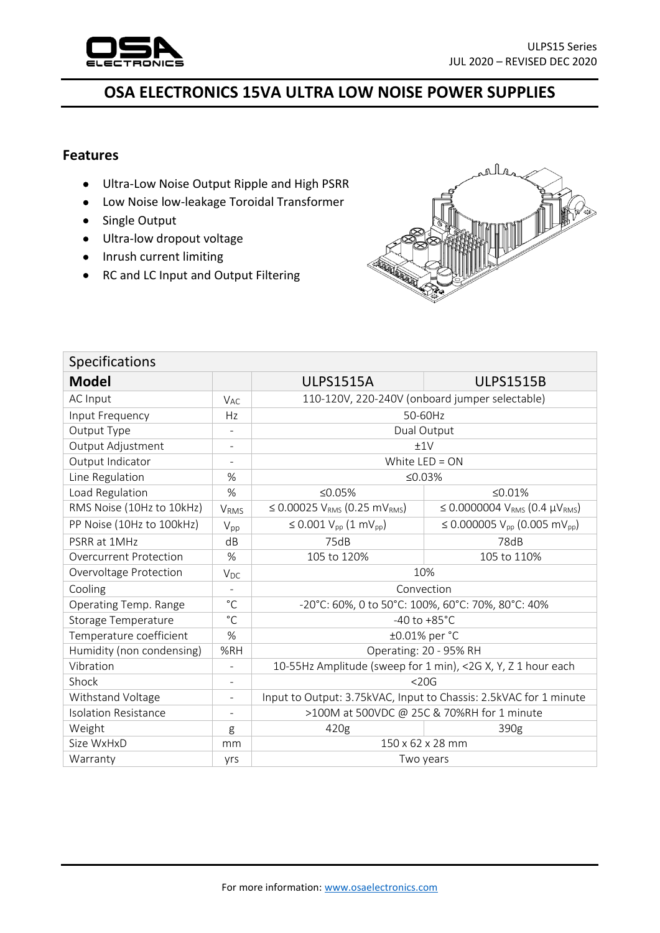

## **OSA ELECTRONICS 15VA ULTRA LOW NOISE POWER SUPPLIES**

## **Features**

- Ultra-Low Noise Output Ripple and High PSRR
- Low Noise low-leakage Toroidal Transformer
- Single Output
- Ultra-low dropout voltage
- Inrush current limiting
- RC and LC Input and Output Filtering



| <b>Specifications</b>         |                          |                                                                   |                                                            |  |  |
|-------------------------------|--------------------------|-------------------------------------------------------------------|------------------------------------------------------------|--|--|
| <b>Model</b>                  |                          | <b>ULPS1515A</b>                                                  | <b>ULPS1515B</b>                                           |  |  |
| <b>AC Input</b>               | <b>V<sub>AC</sub></b>    | 110-120V, 220-240V (onboard jumper selectable)                    |                                                            |  |  |
| Input Frequency               | Hz                       | 50-60Hz                                                           |                                                            |  |  |
| Output Type                   |                          | Dual Output                                                       |                                                            |  |  |
| Output Adjustment             | $\overline{a}$           | ±1V                                                               |                                                            |  |  |
| Output Indicator              | L,                       | White $LED = ON$                                                  |                                                            |  |  |
| Line Regulation               | $\%$                     | ≤ $0.03%$                                                         |                                                            |  |  |
| Load Regulation               | %                        | ≤ $0.05%$                                                         | ≤ $0.01%$                                                  |  |  |
| RMS Noise (10Hz to 10kHz)     | VRMS                     | ≤ 0.00025 $V_{RMS}$ (0.25 m $V_{RMS}$ )                           | $\leq 0.0000004$ V <sub>RMS</sub> (0.4 µV <sub>RMS</sub> ) |  |  |
| PP Noise (10Hz to 100kHz)     | $V_{pp}$                 | ≤ 0.001 $V_{pp}$ (1 m $V_{pp}$ )                                  | ≤ 0.000005 V <sub>pp</sub> (0.005 mV <sub>pp</sub> )       |  |  |
| PSRR at 1MHz                  | dB                       | 75dB                                                              | 78dB                                                       |  |  |
| <b>Overcurrent Protection</b> | %                        | 105 to 120%                                                       | 105 to 110%                                                |  |  |
| Overvoltage Protection        | $V_{DC}$                 | 10%                                                               |                                                            |  |  |
| Cooling                       | $\overline{\phantom{a}}$ | Convection                                                        |                                                            |  |  |
| Operating Temp. Range         | $^{\circ}$ C             | -20°C: 60%, 0 to 50°C: 100%, 60°C: 70%, 80°C: 40%                 |                                                            |  |  |
| Storage Temperature           | $^{\circ}$ C             | -40 to $+85^{\circ}$ C                                            |                                                            |  |  |
| Temperature coefficient       | $\%$                     | ±0.01% per °C                                                     |                                                            |  |  |
| Humidity (non condensing)     | %RH                      | Operating: 20 - 95% RH                                            |                                                            |  |  |
| Vibration                     | $\overline{\phantom{a}}$ | 10-55Hz Amplitude (sweep for 1 min), <2G X, Y, Z 1 hour each      |                                                            |  |  |
| Shock                         | ÷                        | $<$ 20G                                                           |                                                            |  |  |
| Withstand Voltage             | $\overline{a}$           | Input to Output: 3.75kVAC, Input to Chassis: 2.5kVAC for 1 minute |                                                            |  |  |
| <b>Isolation Resistance</b>   |                          | >100M at 500VDC @ 25C & 70%RH for 1 minute                        |                                                            |  |  |
| Weight                        | g                        | 420g                                                              | 390g                                                       |  |  |
| Size WxHxD                    | mm                       | $150 \times 62 \times 28$ mm                                      |                                                            |  |  |
| Warranty                      | yrs                      | Two years                                                         |                                                            |  |  |